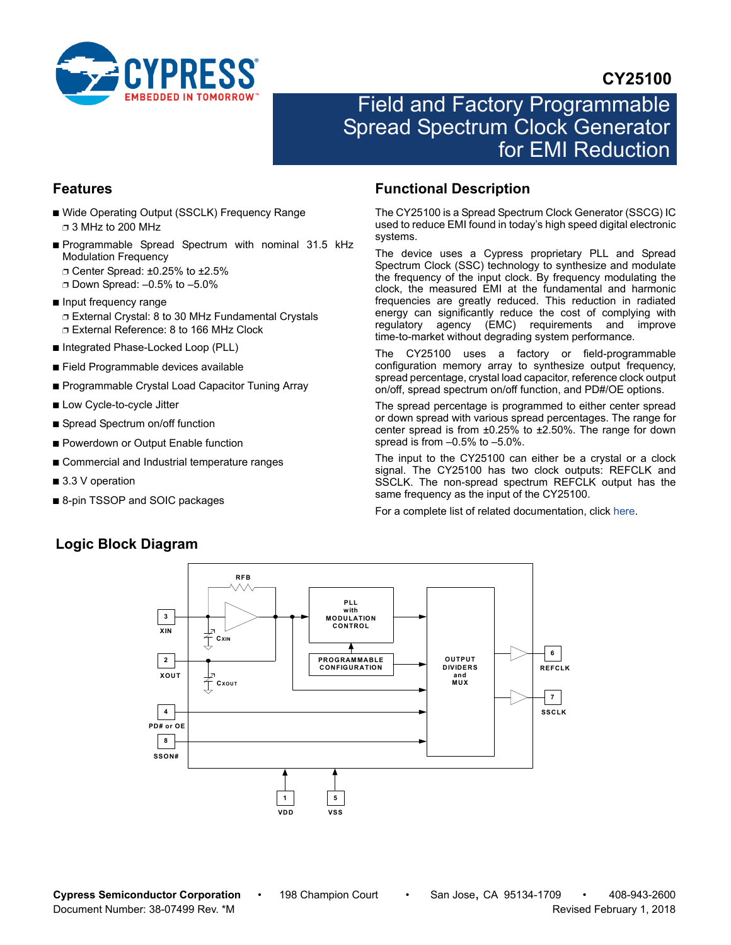

# **CY25100**

# Field and Factory Programmable Spread Spectrum Clock Generator for EMI Reduction

### **Features**

- Wide Operating Output (SSCLK) Frequency Range ❐ 3 MHz to 200 MHz
- Programmable Spread Spectrum with nominal 31.5 kHz Modulation Frequency
	- ❐ Center Spread: ±0.25% to ±2.5%
	- ❐ Down Spread: –0.5% to –5.0%
- Input frequency range ❐ External Crystal: 8 to 30 MHz Fundamental Crystals ❐ External Reference: 8 to 166 MHz Clock
- Integrated Phase-Locked Loop (PLL)
- Field Programmable devices available
- Programmable Crystal Load Capacitor Tuning Array
- Low Cycle-to-cycle Jitter
- Spread Spectrum on/off function
- Powerdown or Output Enable function
- Commercial and Industrial temperature ranges
- 3.3 V operation
- 8-pin TSSOP and SOIC packages

# <span id="page-0-1"></span>**Functional Description**

The CY25100 is a Spread Spectrum Clock Generator (SSCG) IC used to reduce EMI found in today's high speed digital electronic systems.

The device uses a Cypress proprietary PLL and Spread Spectrum Clock (SSC) technology to synthesize and modulate the frequency of the input clock. By frequency modulating the clock, the measured EMI at the fundamental and harmonic frequencies are greatly reduced. This reduction in radiated energy can significantly reduce the cost of complying with regulatory agency (EMC) requirements and improve time-to-market without degrading system performance.

The CY25100 uses a factory or field-programmable configuration memory array to synthesize output frequency, spread percentage, crystal load capacitor, reference clock output on/off, spread spectrum on/off function, and PD#/OE options.

The spread percentage is programmed to either center spread or down spread with various spread percentages. The range for center spread is from ±0.25% to ±2.50%. The range for down spread is from –0.5% to –5.0%.

The input to the CY25100 can either be a crystal or a clock signal. The CY25100 has two clock outputs: REFCLK and SSCLK. The non-spread spectrum REFCLK output has the same frequency as the input of the CY25100.

For a complete list of related documentation, click [here](http://www.cypress.com/?rID=13728
).

#### **RFB PLL with 3 MODULATION CONTROL XIN** 子 **CXIN2 PROGRAMMABLE OUTPUT DIVIDERS CONFIGURATION XOUT and MUX CXOUT 4 PD# or OE 8 SSON#**

**1 5**

**VDD VSS**

**7**

**SSCLK**

**6**

**REFCLK**

# <span id="page-0-0"></span>**Logic Block Diagram**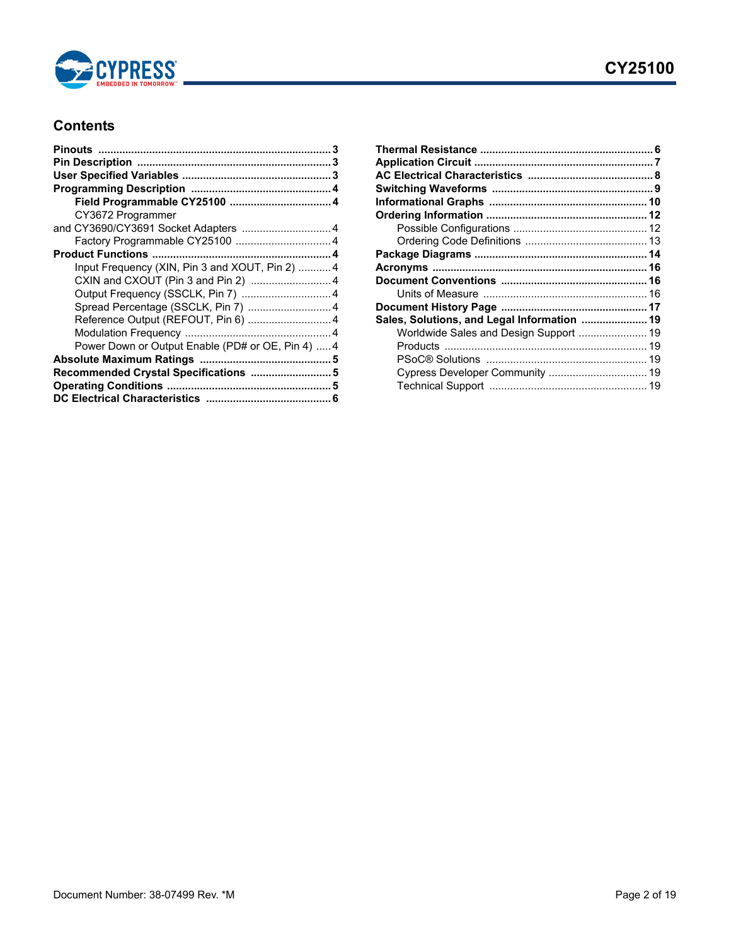

# **Contents**

| CY3672 Programmer                                 |  |
|---------------------------------------------------|--|
| and CY3690/CY3691 Socket Adapters  4              |  |
|                                                   |  |
|                                                   |  |
| Input Frequency (XIN, Pin 3 and XOUT, Pin 2)  4   |  |
| CXIN and CXOUT (Pin 3 and Pin 2)  4               |  |
| Output Frequency (SSCLK, Pin 7)  4                |  |
| Spread Percentage (SSCLK, Pin 7)  4               |  |
| Reference Output (REFOUT, Pin 6)  4               |  |
|                                                   |  |
| Power Down or Output Enable (PD# or OE, Pin 4)  4 |  |
|                                                   |  |
| Recommended Crystal Specifications  5             |  |
|                                                   |  |
|                                                   |  |
|                                                   |  |

| Sales, Solutions, and Legal Information  19 |  |
|---------------------------------------------|--|
| Worldwide Sales and Design Support  19      |  |
|                                             |  |
|                                             |  |
|                                             |  |
|                                             |  |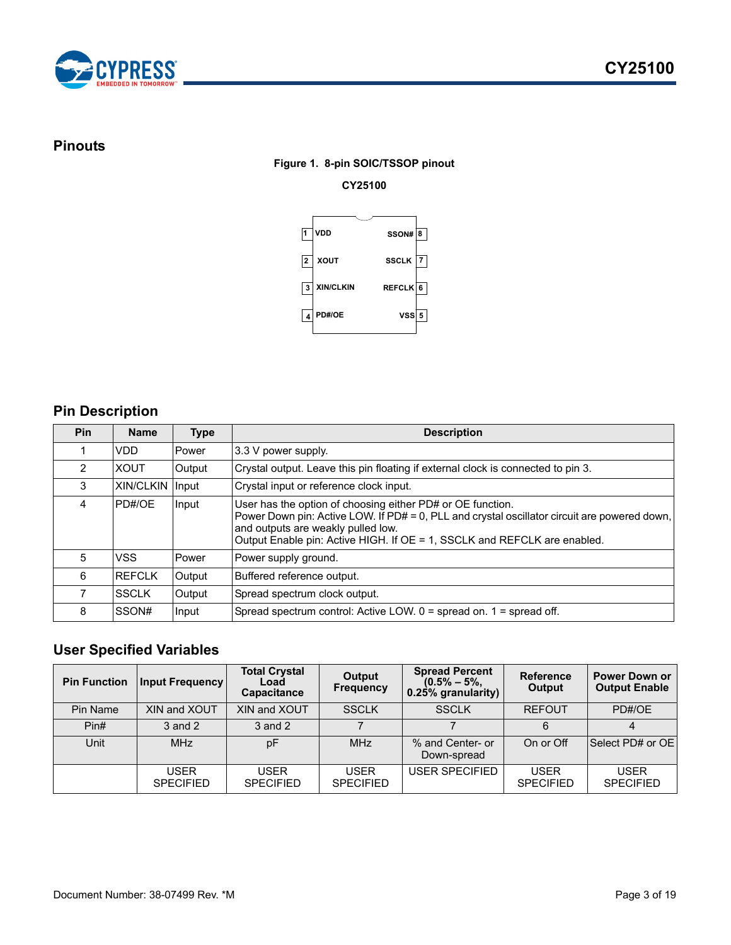

### <span id="page-2-0"></span>**Pinouts**

### **Figure 1. 8-pin SOIC/TSSOP pinout**

### **CY25100**



# <span id="page-2-1"></span>**Pin Description**

| <b>Pin</b> | <b>Name</b>            | Type   | <b>Description</b>                                                                                                                                                                                                                                                           |  |
|------------|------------------------|--------|------------------------------------------------------------------------------------------------------------------------------------------------------------------------------------------------------------------------------------------------------------------------------|--|
|            | VDD                    | Power  | 3.3 V power supply.                                                                                                                                                                                                                                                          |  |
| 2          | <b>XOUT</b>            | Output | Crystal output. Leave this pin floating if external clock is connected to pin 3.                                                                                                                                                                                             |  |
| 3          | <b>XIN/CLKIN Input</b> |        | Crystal input or reference clock input.                                                                                                                                                                                                                                      |  |
| 4          | PD#/OE                 | Input  | User has the option of choosing either PD# or OE function.<br>Power Down pin: Active LOW. If PD# = 0, PLL and crystal oscillator circuit are powered down,<br>and outputs are weakly pulled low.<br>Output Enable pin: Active HIGH. If OE = 1, SSCLK and REFCLK are enabled. |  |
| 5          | VSS                    | Power  | Power supply ground.                                                                                                                                                                                                                                                         |  |
| 6          | REFCLK                 | Output | Buffered reference output.                                                                                                                                                                                                                                                   |  |
| 7          | <b>SSCLK</b>           | Output | Spread spectrum clock output.                                                                                                                                                                                                                                                |  |
| 8          | SSON#                  | Input  | Spread spectrum control: Active LOW. $0 =$ spread on. $1 =$ spread off.                                                                                                                                                                                                      |  |

# <span id="page-2-2"></span>**User Specified Variables**

| <b>Pin Function</b> | <b>Input Frequency</b>          | <b>Total Crystal</b><br>Load<br>Capacitance | Output<br><b>Frequency</b> | <b>Spread Percent</b><br>$(0.5\% - 5\%$<br>0.25% granularity) | <b>Reference</b><br>Output      | <b>Power Down or</b><br><b>Output Enable</b> |
|---------------------|---------------------------------|---------------------------------------------|----------------------------|---------------------------------------------------------------|---------------------------------|----------------------------------------------|
| Pin Name            | XIN and XOUT                    | XIN and XOUT                                | <b>SSCLK</b>               | <b>SSCLK</b>                                                  | <b>REFOUT</b>                   | PD#/OE                                       |
| $P$ in#             | $3$ and $2$                     | 3 and 2                                     |                            |                                                               | 6                               |                                              |
| Unit                | <b>MHz</b>                      | pF                                          | <b>MHz</b>                 | % and Center- or<br>Down-spread                               | On or Off                       | Select PD# or OE                             |
|                     | <b>USER</b><br><b>SPECIFIED</b> | USER<br><b>SPECIFIED</b>                    | USER<br><b>SPECIFIED</b>   | <b>USER SPECIFIED</b>                                         | <b>USER</b><br><b>SPECIFIED</b> | <b>USER</b><br><b>SPECIFIED</b>              |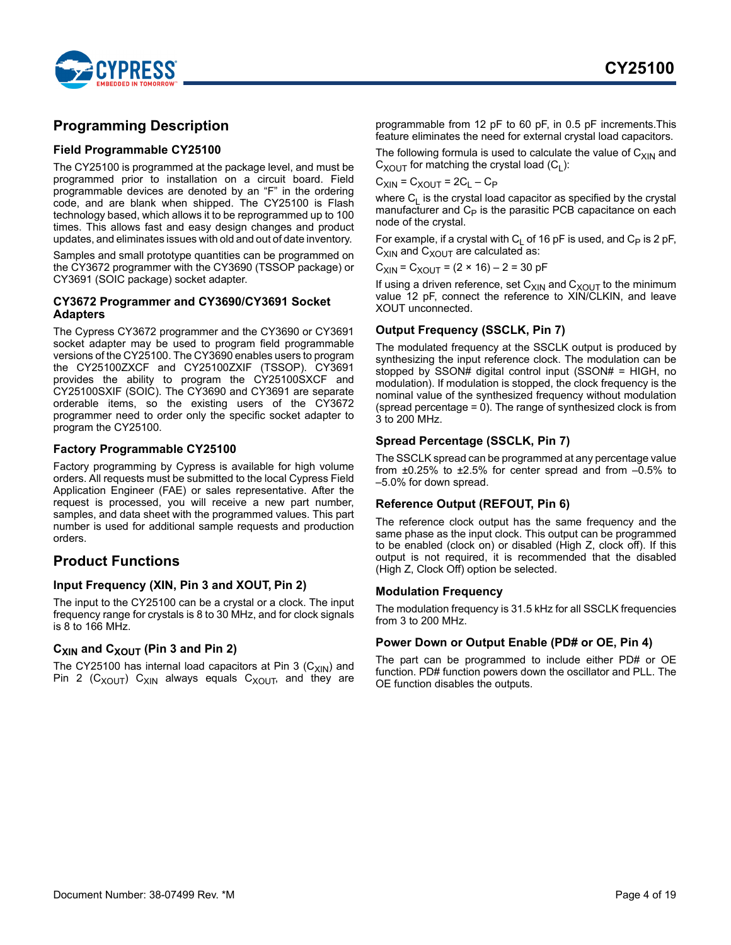

### <span id="page-3-0"></span>**Programming Description**

#### <span id="page-3-1"></span>**Field Programmable CY25100**

The CY25100 is programmed at the package level, and must be programmed prior to installation on a circuit board. Field programmable devices are denoted by an "F" in the ordering code, and are blank when shipped. The CY25100 is Flash technology based, which allows it to be reprogrammed up to 100 times. This allows fast and easy design changes and product updates, and eliminates issues with old and out of date inventory.

Samples and small prototype quantities can be programmed on the CY3672 programmer with the CY3690 (TSSOP package) or CY3691 (SOIC package) socket adapter.

#### <span id="page-3-2"></span>**CY3672 Programmer and CY3690/CY3691 Socket Adapters**

The Cypress CY3672 programmer and the CY3690 or CY3691 socket adapter may be used to program field programmable versions of the CY25100. The CY3690 enables users to program the CY25100ZXCF and CY25100ZXIF (TSSOP). CY3691 provides the ability to program the CY25100SXCF and CY25100SXIF (SOIC). The CY3690 and CY3691 are separate orderable items, so the existing users of the CY3672 programmer need to order only the specific socket adapter to program the CY25100.

#### <span id="page-3-3"></span>**Factory Programmable CY25100**

Factory programming by Cypress is available for high volume orders. All requests must be submitted to the local Cypress Field Application Engineer (FAE) or sales representative. After the request is processed, you will receive a new part number, samples, and data sheet with the programmed values. This part number is used for additional sample requests and production orders.

### <span id="page-3-4"></span>**Product Functions**

### <span id="page-3-5"></span>**Input Frequency (XIN, Pin 3 and XOUT, Pin 2)**

The input to the CY25100 can be a crystal or a clock. The input frequency range for crystals is 8 to 30 MHz, and for clock signals is 8 to 166 MHz.

### <span id="page-3-6"></span>**C<sub>XIN</sub>** and C<sub>XOUT</sub> (Pin 3 and Pin 2)

The CY25100 has internal load capacitors at Pin 3  $(C_{XIN})$  and Pin 2 ( $C_{XOUT}$ )  $C_{XIN}$  always equals  $C_{XOUT}$ , and they are programmable from 12 pF to 60 pF, in 0.5 pF increments.This feature eliminates the need for external crystal load capacitors.

The following formula is used to calculate the value of  $C_{XIN}$  and  $C_{XOUT}$  for matching the crystal load  $(C_L)$ :

$$
C_{XIN} = C_{XOUT} = 2C_L - C_P
$$

where  $C_1$  is the crystal load capacitor as specified by the crystal manufacturer and  $C_P$  is the parasitic PCB capacitance on each node of the crystal.

For example, if a crystal with  $C_1$  of 16 pF is used, and  $C_P$  is 2 pF,  $C_{XIN}$  and  $C_{XOUT}$  are calculated as:

 $C_{XIN} = C_{XOUT} = (2 \times 16) - 2 = 30$  pF

If using a driven reference, set  $\mathsf{C}_\mathsf{XIN}$  and  $\mathsf{C}_\mathsf{XOUT}$  to the minimum value 12 pF, connect the reference to XIN/CLKIN, and leave XOUT unconnected.

### <span id="page-3-7"></span>**Output Frequency (SSCLK, Pin 7)**

The modulated frequency at the SSCLK output is produced by synthesizing the input reference clock. The modulation can be stopped by SSON# digital control input (SSON# = HIGH, no modulation). If modulation is stopped, the clock frequency is the nominal value of the synthesized frequency without modulation (spread percentage  $= 0$ ). The range of synthesized clock is from 3 to 200 MHz.

#### <span id="page-3-8"></span>**Spread Percentage (SSCLK, Pin 7)**

The SSCLK spread can be programmed at any percentage value from ±0.25% to ±2.5% for center spread and from –0.5% to –5.0% for down spread.

#### <span id="page-3-9"></span>**Reference Output (REFOUT, Pin 6)**

The reference clock output has the same frequency and the same phase as the input clock. This output can be programmed to be enabled (clock on) or disabled (High Z, clock off). If this output is not required, it is recommended that the disabled (High Z, Clock Off) option be selected.

#### <span id="page-3-10"></span>**Modulation Frequency**

The modulation frequency is 31.5 kHz for all SSCLK frequencies from 3 to 200 MHz.

### <span id="page-3-11"></span>**Power Down or Output Enable (PD# or OE, Pin 4)**

The part can be programmed to include either PD# or OE function. PD# function powers down the oscillator and PLL. The OE function disables the outputs.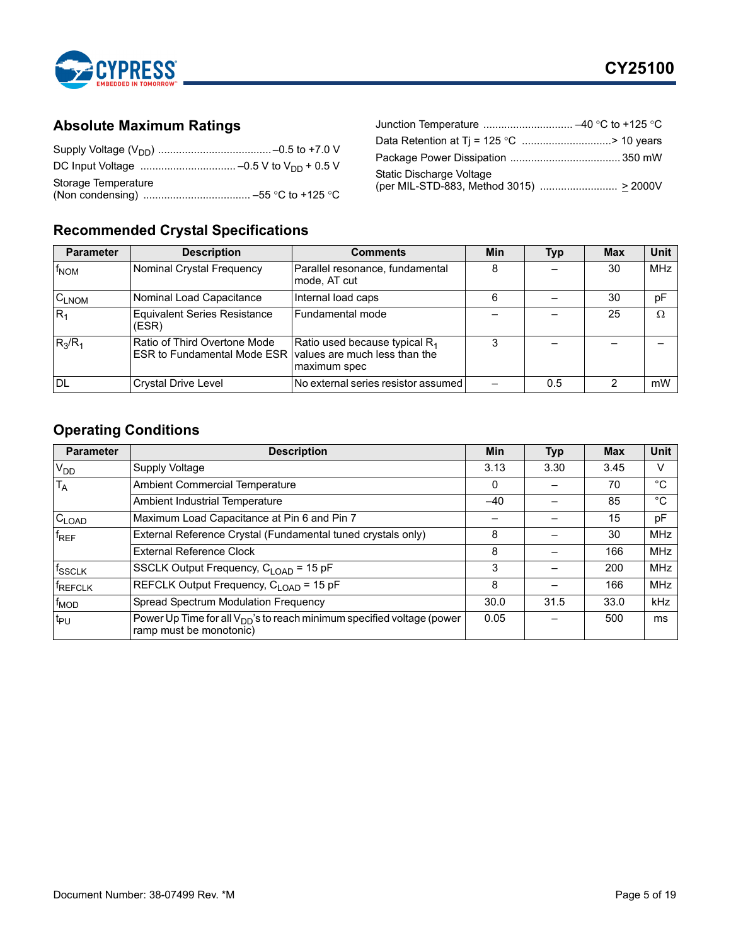

# <span id="page-4-0"></span>**Absolute Maximum Ratings**

| Storage Temperature |  |
|---------------------|--|

| Data Retention at Tj = 125 °C > 10 years |  |
|------------------------------------------|--|
|                                          |  |
| Static Discharge Voltage                 |  |

# <span id="page-4-1"></span>**Recommended Crystal Specifications**

| <b>Parameter</b> | <b>Description</b>                                                                          | <b>Comments</b>                                           | Min | <b>Typ</b> | <b>Max</b> | <b>Unit</b> |
|------------------|---------------------------------------------------------------------------------------------|-----------------------------------------------------------|-----|------------|------------|-------------|
| f <sub>NOM</sub> | Nominal Crystal Frequency                                                                   | Parallel resonance, fundamental<br>mode, AT cut           | 8   |            | 30         | <b>MHz</b>  |
| $C_{LNOM}$       | Nominal Load Capacitance                                                                    | Internal load caps                                        | 6   |            | 30         | pF          |
| $ R_1$           | <b>Equivalent Series Resistance</b><br>(ESR)                                                | Fundamental mode                                          |     |            | 25         | $\Omega$    |
| $R_3/R_1$        | Ratio of Third Overtone Mode<br>ESR to Fundamental Mode ESR   values are much less than the | Ratio used because typical R <sub>1</sub><br>maximum spec | 3   |            |            |             |
| DL               | <b>Crystal Drive Level</b>                                                                  | No external series resistor assumed                       |     | 0.5        |            | mW          |

# <span id="page-4-2"></span>**Operating Conditions**

| <b>Parameter</b>   | <b>Description</b>                                                                                            | Min   | <b>Typ</b> | <b>Max</b> | Unit       |
|--------------------|---------------------------------------------------------------------------------------------------------------|-------|------------|------------|------------|
| V <sub>DD</sub>    | <b>Supply Voltage</b>                                                                                         | 3.13  | 3.30       | 3.45       | v          |
| $T_A$              | <b>Ambient Commercial Temperature</b>                                                                         | 0     |            | 70         | °C         |
|                    | Ambient Industrial Temperature                                                                                | $-40$ |            | 85         | °C         |
| $C_{LOAD}$         | Maximum Load Capacitance at Pin 6 and Pin 7                                                                   |       |            | 15         | pF         |
| $f_{REF}$          | External Reference Crystal (Fundamental tuned crystals only)                                                  | 8     |            | 30         | <b>MHz</b> |
|                    | <b>External Reference Clock</b>                                                                               | 8     |            | 166        | <b>MHz</b> |
| f <sub>SSCLK</sub> | SSCLK Output Frequency, C <sub>LOAD</sub> = 15 pF                                                             |       |            | 200        | <b>MHz</b> |
| fREFCLK            | REFCLK Output Frequency, C <sub>LOAD</sub> = 15 pF                                                            |       |            | 166        | <b>MHz</b> |
| $f_{\text{MOD}}$   | Spread Spectrum Modulation Frequency                                                                          | 30.0  | 31.5       | 33.0       | kHz        |
| t <sub>PU</sub>    | Power Up Time for all V <sub>DD</sub> 's to reach minimum specified voltage (power<br>ramp must be monotonic) | 0.05  |            | 500        | ms         |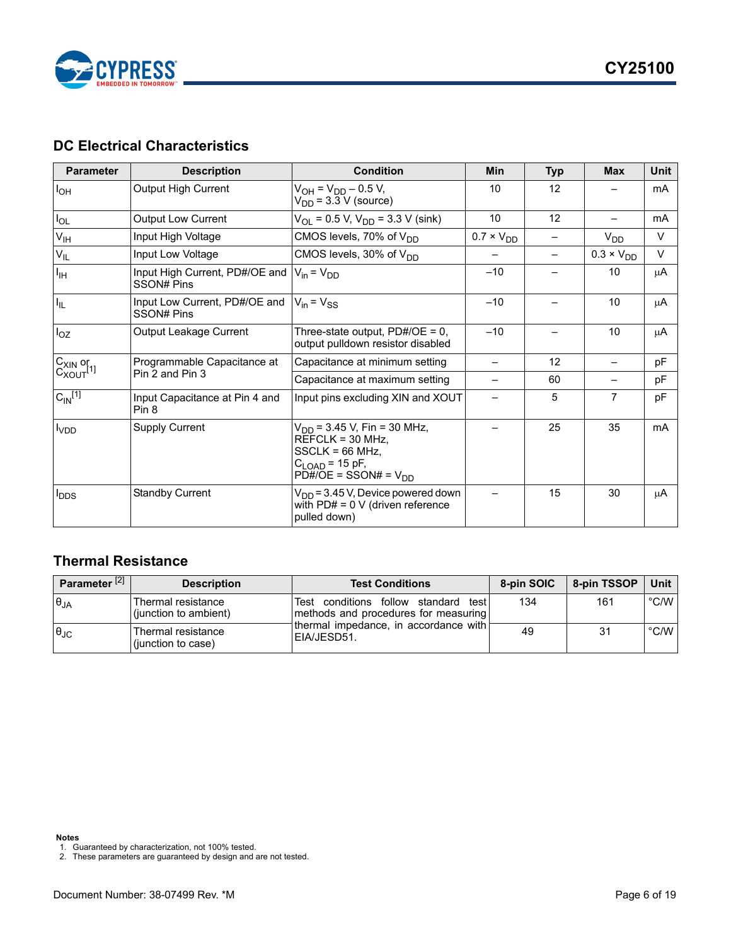

# <span id="page-5-0"></span>**DC Electrical Characteristics**

| <b>Parameter</b>                                        | <b>Description</b>                           | <b>Condition</b>                                                                                                                                                                | Min                 | <b>Typ</b> | <b>Max</b>          | <b>Unit</b> |
|---------------------------------------------------------|----------------------------------------------|---------------------------------------------------------------------------------------------------------------------------------------------------------------------------------|---------------------|------------|---------------------|-------------|
| $I_{OH}$                                                | Output High Current                          | $V_{OH} = V_{DD} - 0.5 V$ ,<br>$V_{DD}$ = 3.3 V (source)                                                                                                                        | 10                  | 12         |                     | mA          |
| $I_{OL}$                                                | <b>Output Low Current</b>                    | $V_{OL}$ = 0.5 V, $V_{DD}$ = 3.3 V (sink)                                                                                                                                       | 10                  | 12         |                     | mA          |
| $V_{\text{IH}}$                                         | Input High Voltage                           | CMOS levels, 70% of V <sub>DD</sub>                                                                                                                                             | $0.7 \times V_{DD}$ |            | $V_{DD}$            | $\vee$      |
| $V_{ L}$                                                | Input Low Voltage                            | CMOS levels, 30% of V <sub>DD</sub>                                                                                                                                             |                     |            | $0.3 \times V_{DD}$ | $\vee$      |
| Iщ                                                      | Input High Current, PD#/OE and<br>SSON# Pins | $V_{in} = V_{DD}$                                                                                                                                                               | $-10$               |            | 10                  | μA          |
| $I_{\parallel L}$                                       | Input Low Current, PD#/OE and<br>SSON# Pins  | $V_{in} = V_{SS}$                                                                                                                                                               | $-10$               |            | 10                  | μA          |
| $I_{OZ}$                                                | Output Leakage Current                       | Three-state output, PD#/OE = 0,<br>output pulldown resistor disabled                                                                                                            | $-10$               |            | 10                  | μA          |
| $C_{X\text{IN}}$ or<br>$C_{X\text{OUT}}$ <sup>[1]</sup> | Programmable Capacitance at                  | Capacitance at minimum setting                                                                                                                                                  |                     | 12         |                     | pF          |
|                                                         | Pin 2 and Pin 3                              | Capacitance at maximum setting                                                                                                                                                  |                     | 60         |                     | pF          |
| $C_{\text{IN}}^{[1]}$                                   | Input Capacitance at Pin 4 and<br>Pin 8      | Input pins excluding XIN and XOUT                                                                                                                                               |                     | 5          | $\overline{7}$      | pF          |
| <b>I</b> VDD                                            | <b>Supply Current</b>                        | V <sub>DD</sub> = 3.45 V, Fin = 30 MHz,<br>$REFCLK = 30 MHz$ ,<br>$SSCLK = 66 MHz$ ,<br>C <sub>LOAD</sub> = 15 pF,<br>$P\overline{D\#}/\overline{O}E =$ SSON# = V <sub>DD</sub> |                     | 25         | 35                  | mA          |
| <b>I</b> <sub>DDS</sub>                                 | <b>Standby Current</b>                       | V <sub>DD</sub> = 3.45 V, Device powered down<br>with $PD# = 0$ V (driven reference<br>pulled down)                                                                             |                     | 15         | 30                  | μA          |

# <span id="page-5-1"></span>**Thermal Resistance**

| Parameter <sup>[2]</sup> | <b>Description</b>                          | <b>Test Conditions</b>                                                       | 8-pin SOIC | 8-pin TSSOP | l Unit        |
|--------------------------|---------------------------------------------|------------------------------------------------------------------------------|------------|-------------|---------------|
| $\theta_{JA}$            | Thermal resistance<br>(junction to ambient) | Test conditions follow standard test<br>methods and procedures for measuring | 134        | 161         | $\degree$ C/W |
| $\theta_{\text{JC}}$     | Thermal resistance<br>(junction to case)    | thermal impedance, in accordance with<br>EIA/JESD51.                         | 49         | 31          | $\degree$ C/W |

<span id="page-5-2"></span>1. Guaranteed by characterization, not 100% tested.

<span id="page-5-3"></span>2. These parameters are guaranteed by design and are not tested.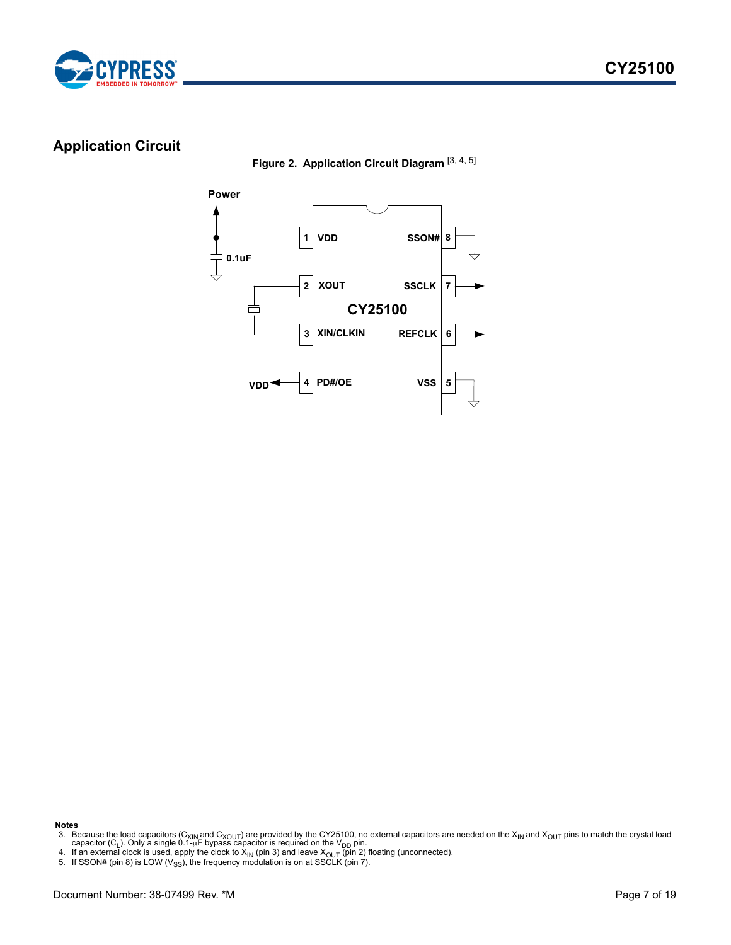



# <span id="page-6-4"></span><span id="page-6-0"></span>**Application Circuit**

**Figure 2. Application Circuit Diagram** [[3,](#page-6-1) [4,](#page-6-2) [5\]](#page-6-3)



**Notes**

<span id="page-6-2"></span>

<span id="page-6-1"></span><sup>3.</sup> Because the load capacitors (C<sub>XIN</sub> and C<sub>XOUT</sub>) are provided by the CY25100, no external capacitors are needed on the X<sub>IN</sub> and X<sub>OUT</sub> pins to match the crystal load<br>capacitor (C<sub>L</sub>). Only a single 0.1-µF bypass capac

<span id="page-6-3"></span><sup>5.</sup> If SSON# (pin 8) is LOW ( $V_{SS}$ ), the frequency modulation is on at SSCLK (pin 7).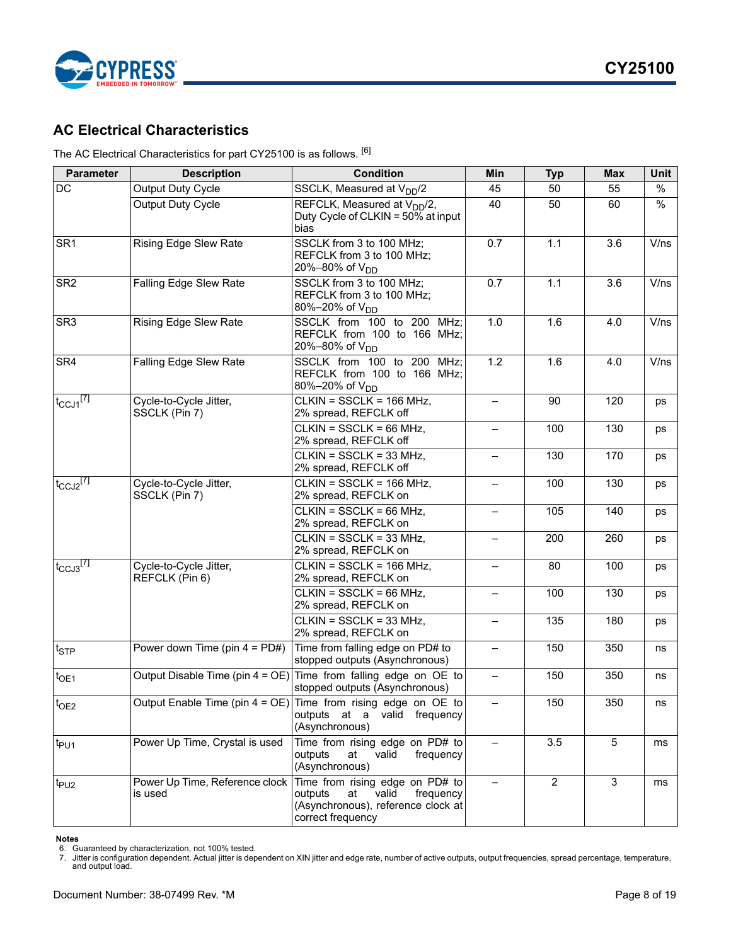



# <span id="page-7-0"></span>**AC Electrical Characteristics**

The AC Electrical Characteristics for part CY25100 is as follows. [[6\]](#page-7-1)

| <b>Parameter</b>          | <b>Description</b>                        | <b>Condition</b>                                                                                                                  | Min                      | <b>Typ</b>     | <b>Max</b>     | Unit |
|---------------------------|-------------------------------------------|-----------------------------------------------------------------------------------------------------------------------------------|--------------------------|----------------|----------------|------|
| DC                        | Output Duty Cycle                         | SSCLK, Measured at V <sub>DD</sub> /2                                                                                             | 45                       | 50             | 55             | $\%$ |
|                           | Output Duty Cycle                         | REFCLK, Measured at V <sub>DD</sub> /2,<br>Duty Cycle of CLKIN = $50\%$ at input<br>bias                                          | 40                       | 50             | 60             | $\%$ |
| SR <sub>1</sub>           | <b>Rising Edge Slew Rate</b>              | SSCLK from 3 to 100 MHz;<br>REFCLK from 3 to 100 MHz;<br>20%–80% of V <sub>DD</sub>                                               | 0.7                      | 1.1            | 3.6            | V/ns |
| SR <sub>2</sub>           | Falling Edge Slew Rate                    | SSCLK from 3 to 100 MHz;<br>REFCLK from 3 to 100 MHz;<br>80%-20% of V <sub>DD</sub>                                               | 0.7                      | 1.1            | 3.6            | V/ns |
| SR <sub>3</sub>           | <b>Rising Edge Slew Rate</b>              | SSCLK from 100 to 200<br>MHz:<br>REFCLK from 100 to 166 MHz;<br>20%–80% of V <sub>DD</sub>                                        | 1.0                      | 1.6            | 4.0            | V/ns |
| SR4                       | Falling Edge Slew Rate                    | SSCLK from 100 to 200 MHz;<br>REFCLK from 100 to 166 MHz;<br>80%-20% of V <sub>DD</sub>                                           | 1.2                      | 1.6            | 4.0            | V/ns |
| $t_{\text{CCJ1}}^{[7]}$   | Cycle-to-Cycle Jitter,<br>SSCLK (Pin 7)   | CLKIN = SSCLK = 166 MHz,<br>2% spread, REFCLK off                                                                                 | $\overline{\phantom{0}}$ | 90             | 120            | ps   |
|                           |                                           | $CLKIN = SSCLK = 66 MHz$<br>2% spread, REFCLK off                                                                                 | $\overline{\phantom{0}}$ | 100            | 130            | ps   |
|                           |                                           | $\overline{CLKIN}$ = SSCLK = 33 MHz,<br>2% spread, REFCLK off                                                                     |                          | 130            | 170            | ps   |
| $t_{CCJ2}$ <sup>[7]</sup> | Cycle-to-Cycle Jitter,<br>SSCLK (Pin 7)   | CLKIN = SSCLK = 166 MHz,<br>2% spread, REFCLK on                                                                                  |                          | 100            | 130            | ps   |
|                           |                                           | $CLKIN = SSCLK = 66 MHz$<br>2% spread, REFCLK on                                                                                  |                          | 105            | 140            | ps   |
|                           |                                           | $CLKIN = SSCLK = 33 MHz$ ,<br>2% spread, REFCLK on                                                                                |                          | 200            | 260            | ps   |
| $t_{CCJ3}$ <sup>[7]</sup> | Cycle-to-Cycle Jitter,<br>REFCLK (Pin 6)  | CLKIN = SSCLK = 166 MHz,<br>2% spread, REFCLK on                                                                                  |                          | 80             | 100            | ps   |
|                           |                                           | $CLKIN = SSCLK = 66 MHz$<br>2% spread, REFCLK on                                                                                  | $\qquad \qquad -$        | 100            | 130            | ps   |
|                           |                                           | $CLKIN = SSCLK = 33 MHz,$<br>2% spread, REFCLK on                                                                                 | $\qquad \qquad -$        | 135            | 180            | ps   |
| $t_{\text{STP}}$          | Power down Time (pin $4 = PDE$ )          | Time from falling edge on PD# to<br>stopped outputs (Asynchronous)                                                                |                          | 150            | 350            | ns   |
| $t_{OE1}$                 |                                           | Output Disable Time (pin $4 = OE$ ) Time from falling edge on OE to<br>stopped outputs (Asynchronous)                             |                          | 150            | 350            | ns   |
| t <sub>OE2</sub>          |                                           | Output Enable Time (pin $4 = OE$ ) Time from rising edge on OE to<br>outputs at a valid frequency<br>(Asynchronous)               |                          | 150            | 350            | ns   |
| t <sub>PU1</sub>          | Power Up Time, Crystal is used            | Time from rising edge on PD# to<br>outputs<br>at<br>valid<br>frequency<br>(Asynchronous)                                          |                          | 3.5            | 5              | ms   |
| t <sub>PU2</sub>          | Power Up Time, Reference clock<br>is used | Time from rising edge on PD# to<br>outputs<br>at<br>valid<br>frequency<br>(Asynchronous), reference clock at<br>correct frequency |                          | $\overline{2}$ | $\overline{3}$ | ms   |

<span id="page-7-1"></span>**Notes** 6. Guaranteed by characterization, not 100% tested.

<span id="page-7-2"></span>7. Jitter is configuration dependent. Actual jitter is dependent on XIN jitter and edge rate, number of active outputs, output frequencies, spread percentage, temperature, and output load.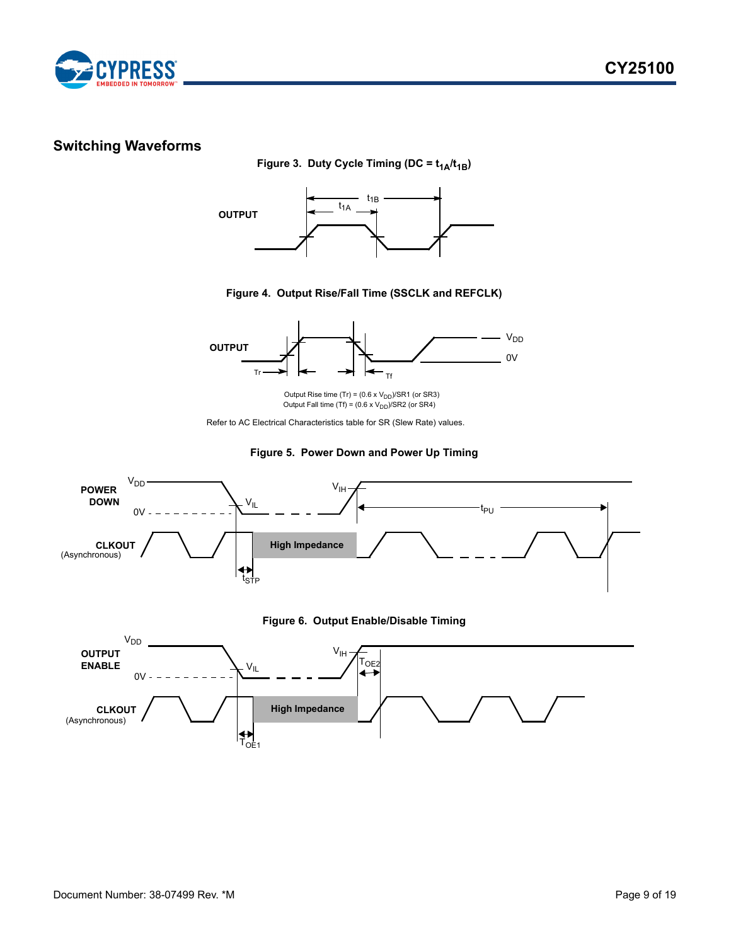

# <span id="page-8-0"></span>**Switching Waveforms**

Figure 3. Duty Cycle Timing (DC =  $t_{1A}/t_{1B}$ )



**Figure 4. Output Rise/Fall Time (SSCLK and REFCLK)**



Output Rise time  $(Tr) = (0.6 \times V_{DD})/SRT$  (or SR3) Output Fall time (Tf) = (0.6 x  $\rm V_{DD}$ )/SR2 (or SR4)

Refer to AC Electrical Characteristics table for SR (Slew Rate) values.



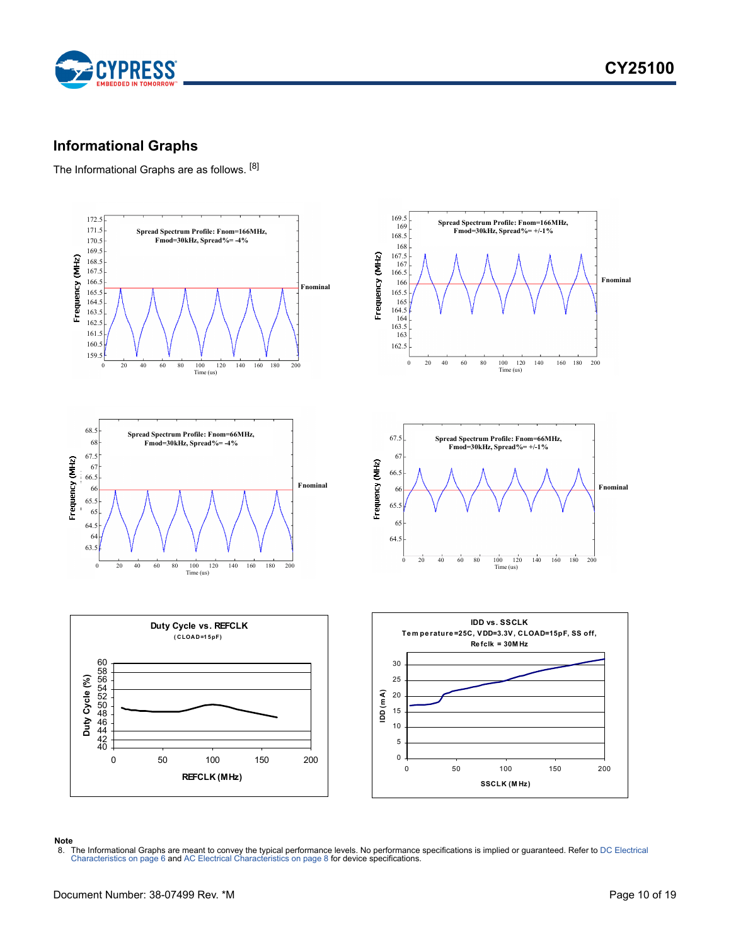

### <span id="page-9-0"></span>**Informational Graphs**

The Informational Graphs are as follows. [\[8](#page-9-1)]



#### **Note**

<span id="page-9-1"></span>8. The Informational Graphs are meant to convey the typical performance levels. No performance specifications is implied or guaranteed. Refer to DC Electrical<br>[Characteristics on page 6](#page-5-0) and AC Electrical Characteristics on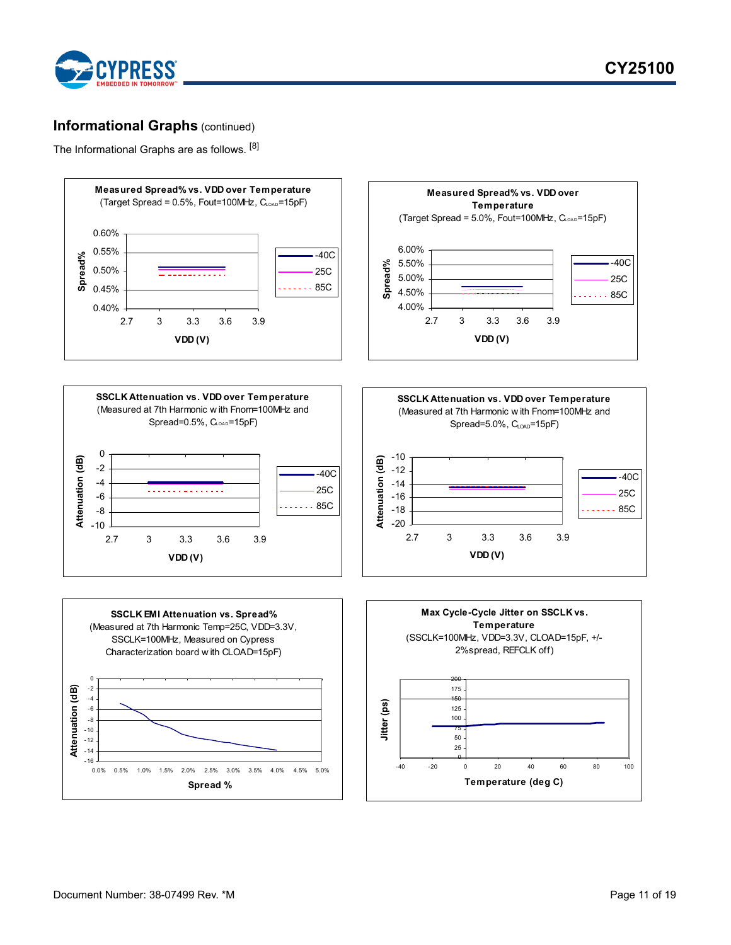

### **Informational Graphs** (continued)

The Informational Graphs are as follows. [8]

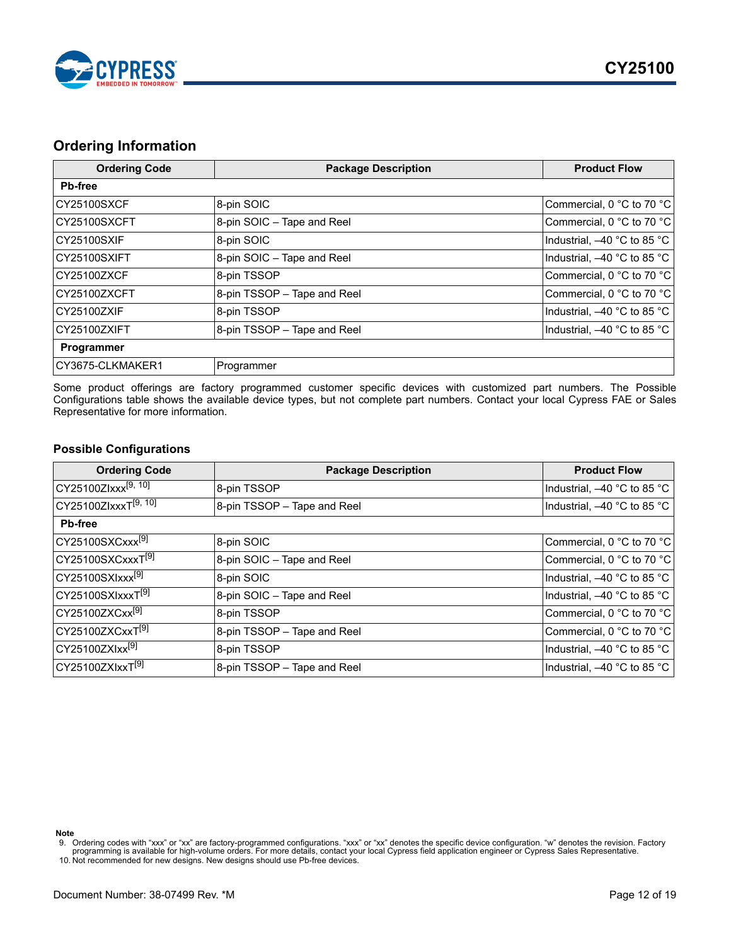

### <span id="page-11-0"></span>**Ordering Information**

| <b>Ordering Code</b> | <b>Package Description</b>  | <b>Product Flow</b>         |
|----------------------|-----------------------------|-----------------------------|
| <b>Pb-free</b>       |                             |                             |
| CY25100SXCF          | 8-pin SOIC                  | Commercial, 0 °C to 70 °C   |
| CY25100SXCFT         | 8-pin SOIC - Tape and Reel  | Commercial, 0 °C to 70 °C   |
| <b>CY25100SXIF</b>   | 8-pin SOIC                  | Industrial, -40 °C to 85 °C |
| CY25100SXIFT         | 8-pin SOIC - Tape and Reel  | Industrial, -40 °C to 85 °C |
| CY25100ZXCF          | 8-pin TSSOP                 | Commercial, 0 °C to 70 °C   |
| CY25100ZXCFT         | 8-pin TSSOP - Tape and Reel | Commercial, 0 °C to 70 °C   |
| CY25100ZXIF          | 8-pin TSSOP                 | Industrial, -40 °C to 85 °C |
| CY25100ZXIFT         | 8-pin TSSOP - Tape and Reel | Industrial, -40 °C to 85 °C |
| Programmer           |                             |                             |
| CY3675-CLKMAKER1     | Programmer                  |                             |

Some product offerings are factory programmed customer specific devices with customized part numbers. The Possible Configurations table shows the available device types, but not complete part numbers. Contact your local Cypress FAE or Sales Representative for more information.

### <span id="page-11-1"></span>**Possible Configurations**

| <b>Ordering Code</b>             | <b>Package Description</b>  | <b>Product Flow</b>         |
|----------------------------------|-----------------------------|-----------------------------|
| $CY25100Zlxxx^{[9, 10]}$         | 8-pin TSSOP                 | Industrial, -40 °C to 85 °C |
| CY25100ZlxxxT <sup>[9, 10]</sup> | 8-pin TSSOP - Tape and Reel | Industrial, -40 °C to 85 °C |
| <b>Pb-free</b>                   |                             |                             |
| CY25100SXCxxx <sup>[9]</sup>     | 8-pin SOIC                  | Commercial, 0 °C to 70 °C   |
| CY25100SXCxxxT <sup>[9]</sup>    | 8-pin SOIC - Tape and Reel  | Commercial, 0 °C to 70 °C   |
| CY25100SXIxxx <sup>[9]</sup>     | 8-pin SOIC                  | Industrial, -40 °C to 85 °C |
| CY25100SXIxxxT <sup>[9]</sup>    | 8-pin SOIC - Tape and Reel  | Industrial, -40 °C to 85 °C |
| CY25100ZXCxx <sup>[9]</sup>      | 8-pin TSSOP                 | Commercial, 0 °C to 70 °C   |
| CY25100ZXCxxT <sup>[9]</sup>     | 8-pin TSSOP - Tape and Reel | Commercial, 0 °C to 70 °C   |
| CY25100ZXIxx <sup>[9]</sup>      | 8-pin TSSOP                 | Industrial, -40 °C to 85 °C |
| CY25100ZXIxxT <sup>[9]</sup>     | 8-pin TSSOP - Tape and Reel | Industrial, -40 °C to 85 °C |

**Note**

<span id="page-11-3"></span><span id="page-11-2"></span><sup>9.</sup> Ordering codes with "xxx" or "xx" are factory-programmed configurations. "xxx" or "xx" denotes the specific device configuration. "w" denotes the revision. Factory<br>programming is available for high-volume orders. For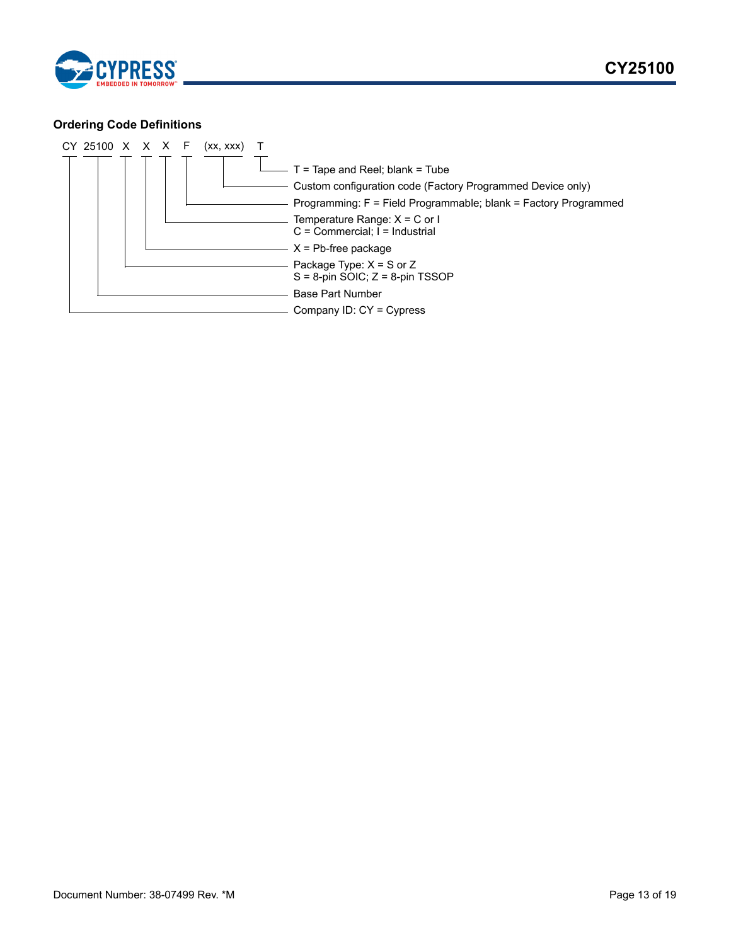

### <span id="page-12-0"></span>**Ordering Code Definitions**

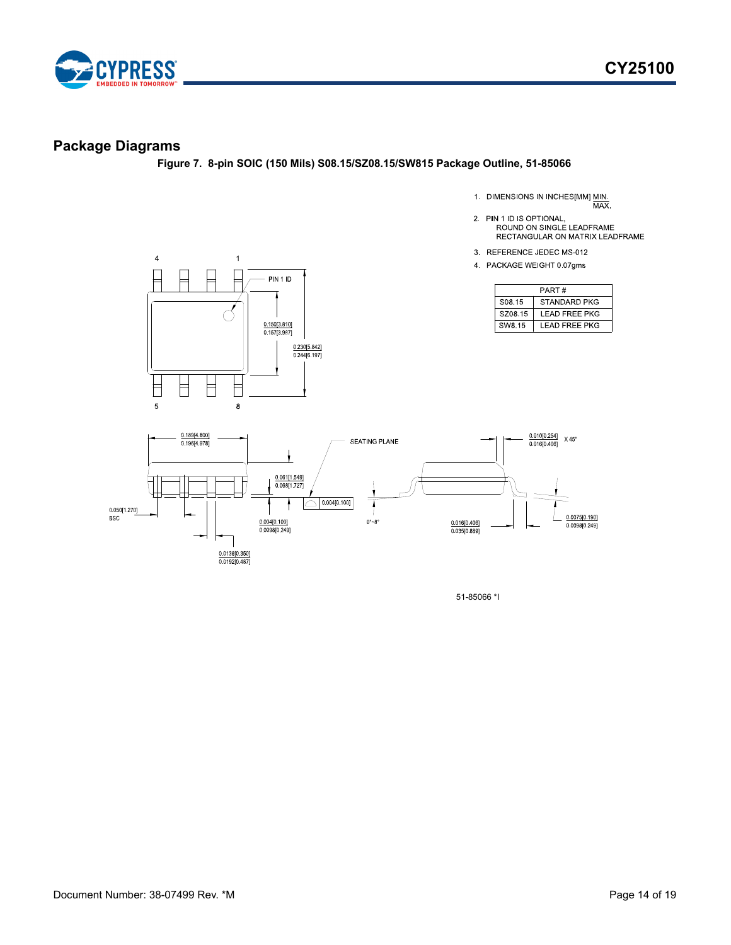

### <span id="page-13-0"></span>**Package Diagrams**

**Figure 7. 8-pin SOIC (150 Mils) S08.15/SZ08.15/SW815 Package Outline, 51-85066**

1. DIMENSIONS IN INCHES[MM] MIN.<br>MAX.

- 2. PIN 1 ID IS OPTIONAL,<br>ROUND ON SINGLE LEADFRAME RECTANGULAR ON MATRIX LEADFRAME
- 3. REFERENCE JEDEC MS-012
- 4 PACKAGE WEIGHT 0.07gms

| PART#              |                      |  |  |  |
|--------------------|----------------------|--|--|--|
| S <sub>08</sub> 15 | STANDARD PKG         |  |  |  |
| SZ08.15            | <b>LEAD FREE PKG</b> |  |  |  |
| SW8.15             | I FAD FRFF PKG       |  |  |  |





51-85066 \*I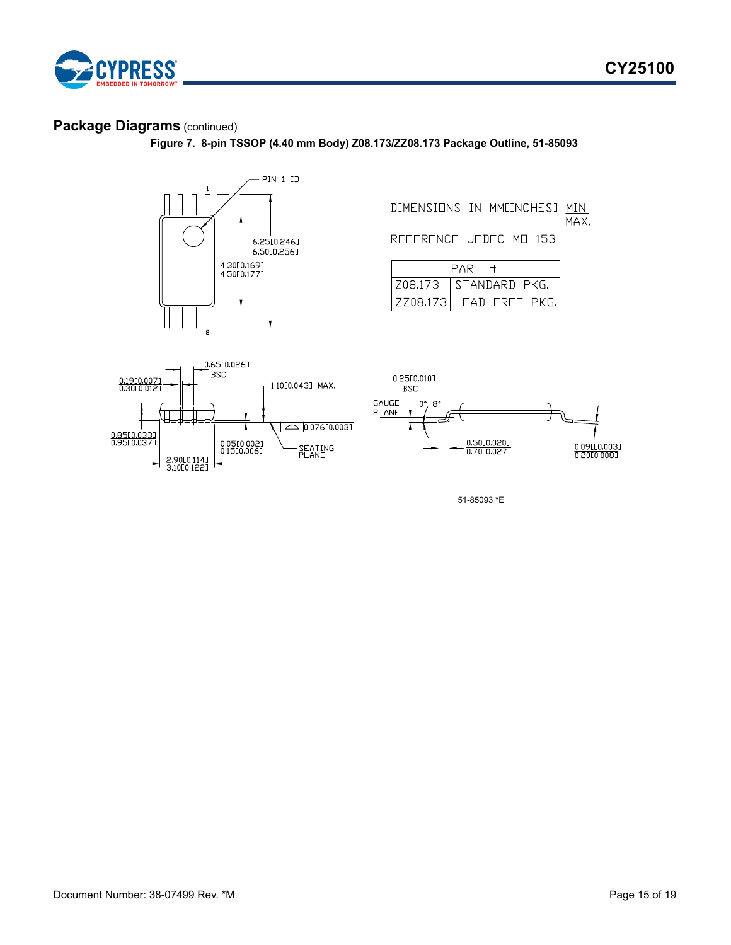

### **Package Diagrams** (continued)

**Figure 7. 8-pin TSSOP (4.40 mm Body) Z08.173/ZZ08.173 Package Outline, 51-85093**



DIMENSIONS IN MMINCHESJ MIN. MAX.

REFERENCE JEDEC MD-153

| PART # |                         |  |  |  |
|--------|-------------------------|--|--|--|
|        | Z08.173 STANDARD PKG.   |  |  |  |
|        | ZZ08.173 LEAD FREE PKG. |  |  |  |



51-85093 \*E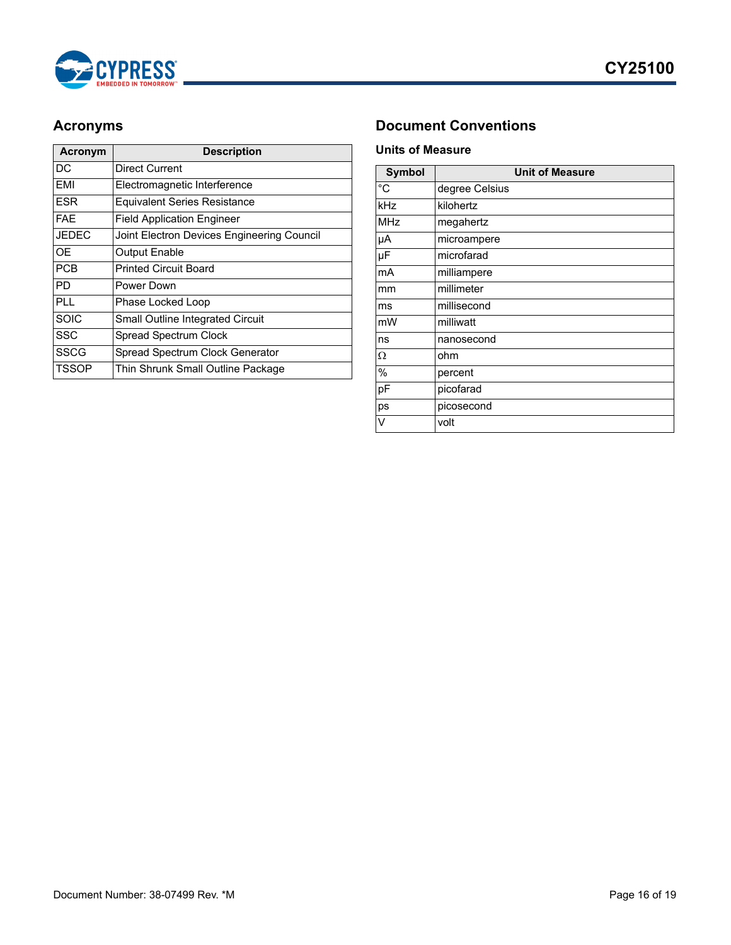

| <b>Acronym</b> | <b>Description</b>                         |  |  |
|----------------|--------------------------------------------|--|--|
| DC             | Direct Current                             |  |  |
| EMI            | Electromagnetic Interference               |  |  |
| <b>ESR</b>     | <b>Equivalent Series Resistance</b>        |  |  |
| <b>FAE</b>     | <b>Field Application Engineer</b>          |  |  |
| <b>JEDEC</b>   | Joint Electron Devices Engineering Council |  |  |
| OF             | <b>Output Enable</b>                       |  |  |
| <b>PCB</b>     | <b>Printed Circuit Board</b>               |  |  |
| PD             | Power Down                                 |  |  |
| <b>PLL</b>     | Phase Locked Loop                          |  |  |
| <b>SOIC</b>    | <b>Small Outline Integrated Circuit</b>    |  |  |
| <b>SSC</b>     | Spread Spectrum Clock                      |  |  |
| <b>SSCG</b>    | Spread Spectrum Clock Generator            |  |  |
| TSSOP          | Thin Shrunk Small Outline Package          |  |  |

# <span id="page-15-0"></span>**Acronyms Document Conventions**

### <span id="page-15-2"></span><span id="page-15-1"></span>**Units of Measure**

| <b>Symbol</b> | <b>Unit of Measure</b> |  |  |
|---------------|------------------------|--|--|
| °C            | degree Celsius         |  |  |
| kHz           | kilohertz              |  |  |
| MHz           | megahertz              |  |  |
| μA            | microampere            |  |  |
| μF            | microfarad             |  |  |
| mA            | milliampere            |  |  |
| mm            | millimeter             |  |  |
| ms            | millisecond            |  |  |
| mW            | milliwatt              |  |  |
| ns            | nanosecond             |  |  |
| Ω             | ohm                    |  |  |
| $\%$          | percent                |  |  |
| pF            | picofarad              |  |  |
| ps            | picosecond             |  |  |
| V             | volt                   |  |  |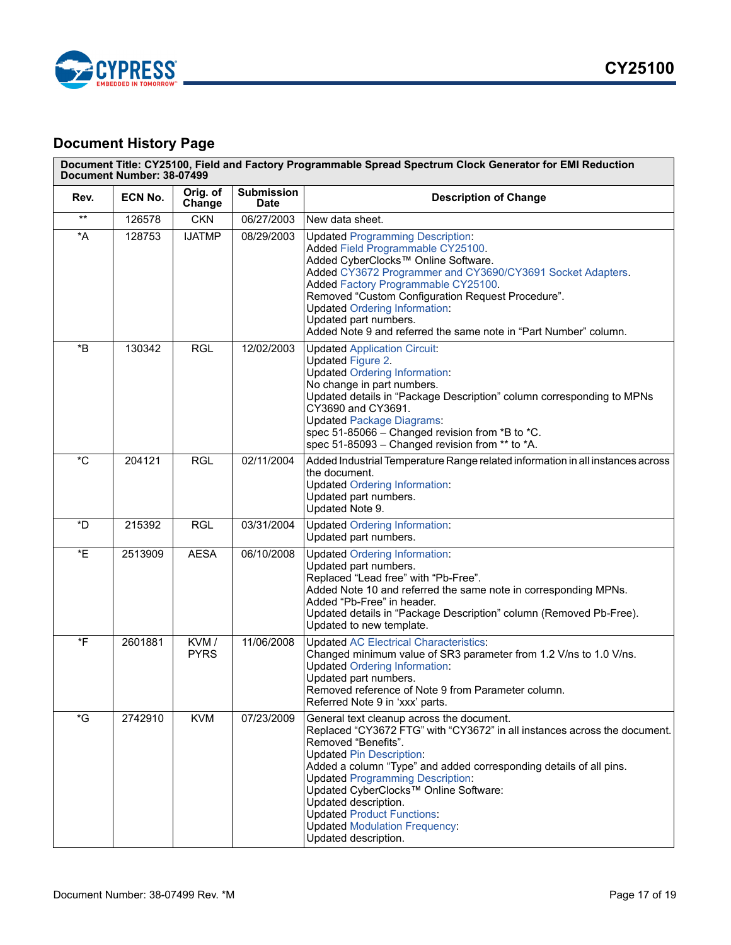



# <span id="page-16-0"></span>**Document History Page**

| Rev.                       | ECN No. | Orig. of<br>Change  | <b>Submission</b><br><b>Date</b> | <b>Description of Change</b>                                                                                                                                                                                                                                                                                                                                                                                                                                            |
|----------------------------|---------|---------------------|----------------------------------|-------------------------------------------------------------------------------------------------------------------------------------------------------------------------------------------------------------------------------------------------------------------------------------------------------------------------------------------------------------------------------------------------------------------------------------------------------------------------|
| $^{\star\star}$            | 126578  | <b>CKN</b>          | 06/27/2003                       | New data sheet.                                                                                                                                                                                                                                                                                                                                                                                                                                                         |
| $\,{}^\star \! \mathsf{A}$ | 128753  | <b>IJATMP</b>       | 08/29/2003                       | <b>Updated Programming Description:</b><br>Added Field Programmable CY25100.<br>Added CyberClocks™ Online Software.<br>Added CY3672 Programmer and CY3690/CY3691 Socket Adapters.<br>Added Factory Programmable CY25100.<br>Removed "Custom Configuration Request Procedure".<br><b>Updated Ordering Information:</b><br>Updated part numbers.<br>Added Note 9 and referred the same note in "Part Number" column.                                                      |
| $\boldsymbol{B}^*$         | 130342  | <b>RGL</b>          | 12/02/2003                       | <b>Updated Application Circuit:</b><br>Updated Figure 2.<br><b>Updated Ordering Information:</b><br>No change in part numbers.<br>Updated details in "Package Description" column corresponding to MPNs<br>CY3690 and CY3691.<br><b>Updated Package Diagrams:</b><br>spec 51-85066 - Changed revision from *B to *C.<br>spec 51-85093 - Changed revision from ** to *A.                                                                                                 |
| $^{\ast}$ C                | 204121  | <b>RGL</b>          | 02/11/2004                       | Added Industrial Temperature Range related information in all instances across<br>the document.<br><b>Updated Ordering Information:</b><br>Updated part numbers.<br>Updated Note 9.                                                                                                                                                                                                                                                                                     |
| *D                         | 215392  | <b>RGL</b>          | 03/31/2004                       | <b>Updated Ordering Information:</b><br>Updated part numbers.                                                                                                                                                                                                                                                                                                                                                                                                           |
| *E                         | 2513909 | <b>AESA</b>         | 06/10/2008                       | <b>Updated Ordering Information:</b><br>Updated part numbers.<br>Replaced "Lead free" with "Pb-Free".<br>Added Note 10 and referred the same note in corresponding MPNs.<br>Added "Pb-Free" in header.<br>Updated details in "Package Description" column (Removed Pb-Free).<br>Updated to new template.                                                                                                                                                                |
| *F                         | 2601881 | KVM/<br><b>PYRS</b> | 11/06/2008                       | <b>Updated AC Electrical Characteristics:</b><br>Changed minimum value of SR3 parameter from 1.2 V/ns to 1.0 V/ns.<br><b>Updated Ordering Information:</b><br>Updated part numbers.<br>Removed reference of Note 9 from Parameter column.<br>Referred Note 9 in 'xxx' parts.                                                                                                                                                                                            |
| *G                         | 2742910 | <b>KVM</b>          | 07/23/2009                       | General text cleanup across the document.<br>Replaced "CY3672 FTG" with "CY3672" in all instances across the document.<br>Removed "Benefits".<br><b>Updated Pin Description:</b><br>Added a column "Type" and added corresponding details of all pins.<br><b>Updated Programming Description:</b><br>Updated CyberClocks™ Online Software:<br>Updated description.<br><b>Updated Product Functions:</b><br><b>Updated Modulation Frequency:</b><br>Updated description. |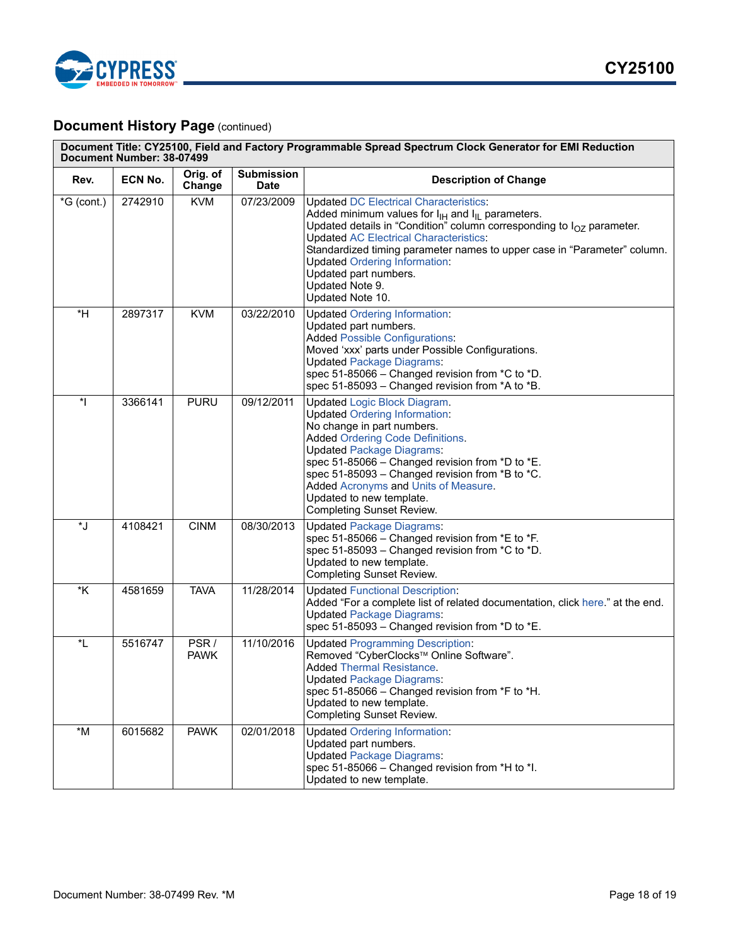

# **Document History Page (continued)**

| Document Title: CY25100, Field and Factory Programmable Spread Spectrum Clock Generator for EMI Reduction<br>Document Number: 38-07499 |         |                     |                                  |                                                                                                                                                                                                                                                                                                                                                                                                                              |
|----------------------------------------------------------------------------------------------------------------------------------------|---------|---------------------|----------------------------------|------------------------------------------------------------------------------------------------------------------------------------------------------------------------------------------------------------------------------------------------------------------------------------------------------------------------------------------------------------------------------------------------------------------------------|
| Rev.                                                                                                                                   | ECN No. | Orig. of<br>Change  | <b>Submission</b><br><b>Date</b> | <b>Description of Change</b>                                                                                                                                                                                                                                                                                                                                                                                                 |
| $*G$ (cont.)                                                                                                                           | 2742910 | <b>KVM</b>          | 07/23/2009                       | <b>Updated DC Electrical Characteristics:</b><br>Added minimum values for $I_{H}$ and $I_{H}$ parameters.<br>Updated details in "Condition" column corresponding to $I_{OZ}$ parameter.<br><b>Updated AC Electrical Characteristics:</b><br>Standardized timing parameter names to upper case in "Parameter" column.<br><b>Updated Ordering Information:</b><br>Updated part numbers.<br>Updated Note 9.<br>Updated Note 10. |
| $*H$                                                                                                                                   | 2897317 | <b>KVM</b>          | 03/22/2010                       | <b>Updated Ordering Information:</b><br>Updated part numbers.<br><b>Added Possible Configurations:</b><br>Moved 'xxx' parts under Possible Configurations.<br><b>Updated Package Diagrams:</b><br>spec 51-85066 - Changed revision from *C to *D.<br>spec 51-85093 - Changed revision from *A to *B.                                                                                                                         |
| $\overline{\phantom{a}}$                                                                                                               | 3366141 | <b>PURU</b>         | 09/12/2011                       | <b>Updated Logic Block Diagram.</b><br><b>Updated Ordering Information:</b><br>No change in part numbers.<br><b>Added Ordering Code Definitions.</b><br><b>Updated Package Diagrams:</b><br>spec 51-85066 - Changed revision from *D to *E.<br>spec 51-85093 - Changed revision from *B to *C.<br>Added Acronyms and Units of Measure.<br>Updated to new template.<br><b>Completing Sunset Review.</b>                       |
| *J                                                                                                                                     | 4108421 | <b>CINM</b>         | 08/30/2013                       | <b>Updated Package Diagrams:</b><br>spec 51-85066 - Changed revision from *E to *F.<br>spec 51-85093 - Changed revision from *C to *D.<br>Updated to new template.<br><b>Completing Sunset Review.</b>                                                                                                                                                                                                                       |
| $*_{\mathsf{K}}$                                                                                                                       | 4581659 | <b>TAVA</b>         | 11/28/2014                       | <b>Updated Functional Description:</b><br>Added "For a complete list of related documentation, click here." at the end.<br><b>Updated Package Diagrams:</b><br>spec 51-85093 - Changed revision from *D to *E.                                                                                                                                                                                                               |
| *L                                                                                                                                     | 5516747 | PSR/<br><b>PAWK</b> | 11/10/2016                       | <b>Updated Programming Description:</b><br>Removed "CyberClocks™ Online Software".<br><b>Added Thermal Resistance.</b><br><b>Updated Package Diagrams:</b><br>spec 51-85066 - Changed revision from *F to *H.<br>Updated to new template.<br><b>Completing Sunset Review.</b>                                                                                                                                                |
| $^{\star}{\sf M}$                                                                                                                      | 6015682 | <b>PAWK</b>         | 02/01/2018                       | <b>Updated Ordering Information:</b><br>Updated part numbers.<br><b>Updated Package Diagrams:</b><br>spec 51-85066 - Changed revision from *H to *I.<br>Updated to new template.                                                                                                                                                                                                                                             |